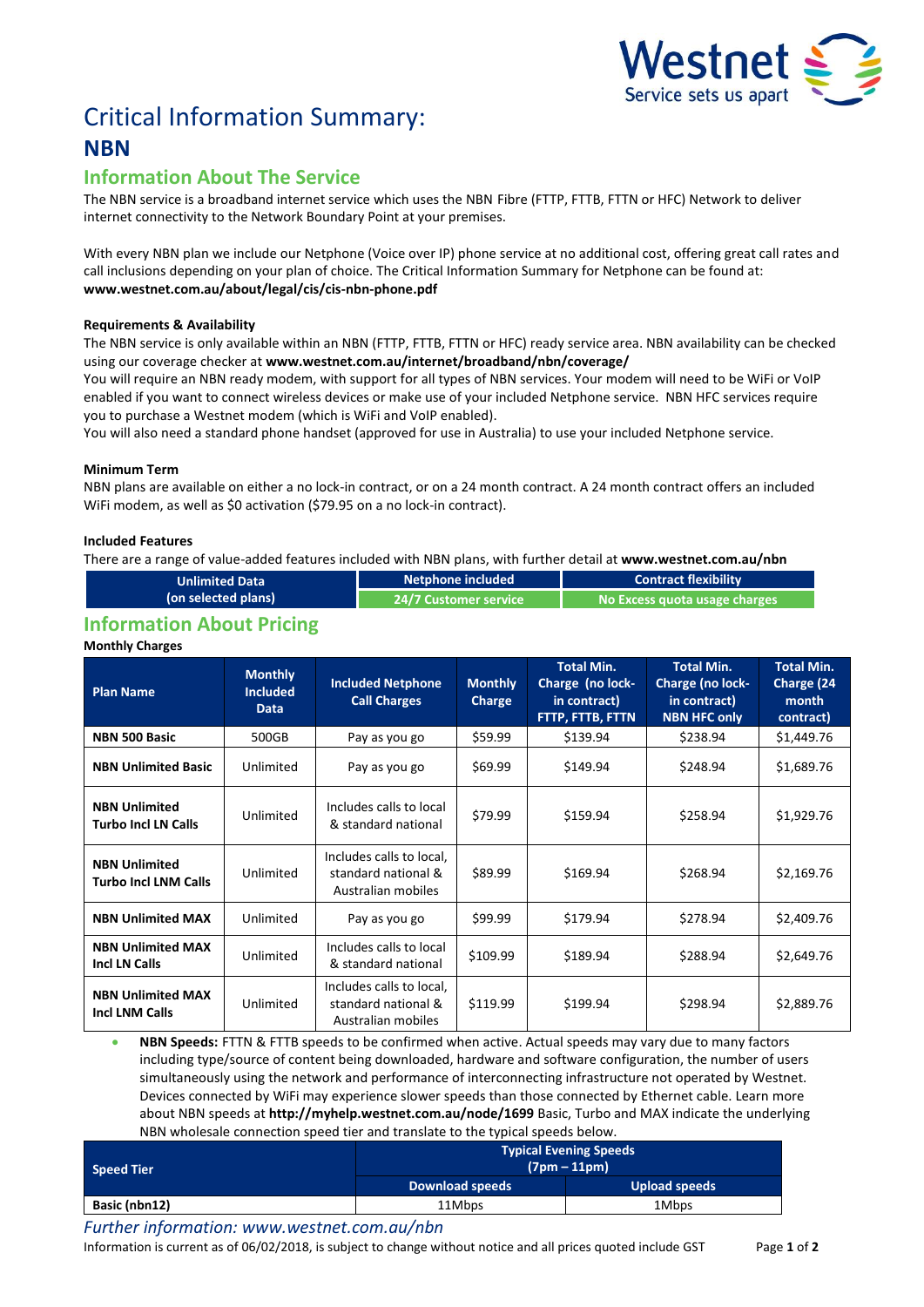

# Critical Information Summary: **NBN**

# **Information About The Service**

The NBN service is a broadband internet service which uses the NBNFibre (FTTP, FTTB, FTTN or HFC) Network to deliver internet connectivity to the Network Boundary Point at your premises.

With every NBN plan we include our Netphone (Voice over IP) phone service at no additional cost, offering great call rates and call inclusions depending on your plan of choice. The Critical Information Summary for Netphone can be found at: **www.westnet.com.au/about/legal/cis/cis-nbn-phone.pdf**

# **Requirements & Availability**

The NBN service is only available within an NBN (FTTP, FTTB, FTTN or HFC) ready service area. NBN availability can be checked using our coverage checker at **www.westnet.com.au/internet/broadband/nbn/coverage/**

You will require an NBN ready modem, with support for all types of NBN services. Your modem will need to be WiFi or VoIP enabled if you want to connect wireless devices or make use of your included Netphone service. NBN HFC services require you to purchase a Westnet modem (which is WiFi and VoIP enabled).

You will also need a standard phone handset (approved for use in Australia) to use your included Netphone service.

# **Minimum Term**

NBN plans are available on either a no lock-in contract, or on a 24 month contract. A 24 month contract offers an included WiFi modem, as well as \$0 activation (\$79.95 on a no lock-in contract).

# **Included Features**

There are a range of value-added features included with NBN plans, with further detail at **www.westnet.com.au/nbn**

| <b>Unlimited Data</b> | Netphone included     | <b>Contract flexibility</b>     |  |
|-----------------------|-----------------------|---------------------------------|--|
| (on selected plans)   | 24/7 Customer service | l No Excess quota usage charges |  |
|                       |                       |                                 |  |

# **Information About Pricing**

### **Monthly Charges**

| <b>Plan Name</b>                                    | <b>Monthly</b><br><b>Included</b><br><b>Data</b> | <b>Included Netphone</b><br><b>Call Charges</b>                       | <b>Monthly</b><br>Charge | <b>Total Min.</b><br>Charge (no lock-<br>in contract)<br>FTTP, FTTB, FTTN | <b>Total Min.</b><br>Charge (no lock-<br>in contract)<br><b>NBN HFC only</b> | <b>Total Min.</b><br>Charge (24<br>month<br>contract) |
|-----------------------------------------------------|--------------------------------------------------|-----------------------------------------------------------------------|--------------------------|---------------------------------------------------------------------------|------------------------------------------------------------------------------|-------------------------------------------------------|
| NBN 500 Basic                                       | 500GB                                            | Pay as you go                                                         | \$59.99                  | \$139.94                                                                  | \$238.94                                                                     | \$1,449.76                                            |
| <b>NBN Unlimited Basic</b>                          | Unlimited                                        | Pay as you go                                                         | \$69.99                  | \$149.94                                                                  | \$248.94                                                                     | \$1,689.76                                            |
| <b>NBN Unlimited</b><br><b>Turbo Incl LN Calls</b>  | Unlimited                                        | Includes calls to local<br>& standard national                        | \$79.99                  | \$159.94                                                                  | \$258.94                                                                     | \$1,929.76                                            |
| <b>NBN Unlimited</b><br><b>Turbo Incl LNM Calls</b> | Unlimited                                        | Includes calls to local,<br>standard national &<br>Australian mobiles | \$89.99                  | \$169.94                                                                  | \$268.94                                                                     | \$2,169.76                                            |
| <b>NBN Unlimited MAX</b>                            | Unlimited                                        | Pay as you go                                                         | \$99.99                  | \$179.94                                                                  | \$278.94                                                                     | \$2,409.76                                            |
| <b>NBN Unlimited MAX</b><br><b>Incl LN Calls</b>    | Unlimited                                        | Includes calls to local<br>& standard national                        | \$109.99                 | \$189.94                                                                  | \$288.94                                                                     | \$2,649.76                                            |
| <b>NBN Unlimited MAX</b><br><b>Incl LNM Calls</b>   | Unlimited                                        | Includes calls to local,<br>standard national &<br>Australian mobiles | \$119.99                 | \$199.94                                                                  | \$298.94                                                                     | \$2,889.76                                            |

 **NBN Speeds:** FTTN & FTTB speeds to be confirmed when active. Actual speeds may vary due to many factors including type/source of content being downloaded, hardware and software configuration, the number of users simultaneously using the network and performance of interconnecting infrastructure not operated by Westnet. Devices connected by WiFi may experience slower speeds than those connected by Ethernet cable. Learn more about NBN speeds at **http://myhelp.westnet.com.au/node/1699** Basic, Turbo and MAX indicate the underlying NBN wholesale connection speed tier and translate to the typical speeds below.

| <b>Speed Tier</b> | <b>Typical Evening Speeds</b><br>$(7pm - 11pm)$ |               |  |  |
|-------------------|-------------------------------------------------|---------------|--|--|
|                   | <b>Download speeds</b>                          | Upload speeds |  |  |
| Basic (nbn12)     | 11Mbps                                          | 1Mbps         |  |  |

*Further information: www.westnet.com.au/nbn*

Information is current as of 06/02/2018, is subject to change without notice and all prices quoted include GST Page **1** of **2**